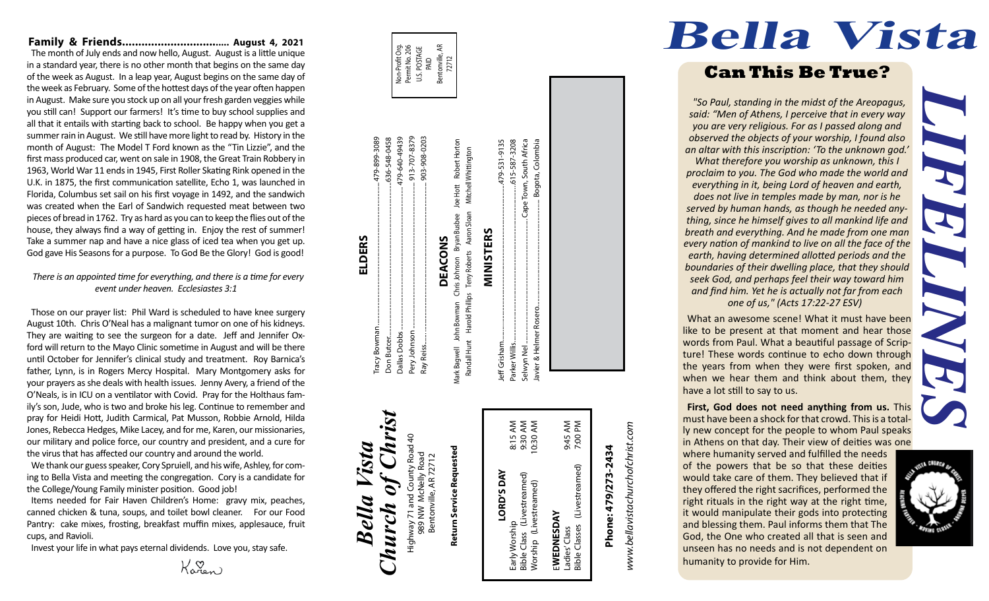#### **Family & Friends.................................. August 4, 2021**

The month of July ends and now hello, August. August is a little unique in a standard year, there is no other month that begins on the same day of the week as August. In a leap year, August begins on the same day of the week as February. Some of the hottest days of the year often happen in August. Make sure you stock up on all your fresh garden veggies while you still can! Support our farmers! It's time to buy school supplies and all that it entails with starting back to school. Be happy when you get a summer rain in August. We still have more light to read by. History in the month of August: The Model T Ford known as the "Tin Lizzie", and the first mass produced car, went on sale in 1908, the Great Train Robbery in 1963, World War 11 ends in 1945, First Roller Skating Rink opened in the U.K. in 1875, the first communication satellite, Echo 1, was launched in Florida, Columbus set sail on his first voyage in 1492, and the sandwich was created when the Earl of Sandwich requested meat between two pieces of bread in 1762. Try as hard as you can to keep the flies out of the house, they always find a way of getting in. Enjoy the rest of summer! Take a summer nap and have a nice glass of iced tea when you get up. God gave His Seasons for a purpose. To God Be the Glory! God is good!

#### *There is an appointed time for everything, and there is a time for every event under heaven. Ecclesiastes 3:1*

Those on our prayer list: Phil Ward is scheduled to have knee surgery August 10th. Chris O'Neal has a malignant tumor on one of his kidneys. They are waiting to see the surgeon for a date. Jeff and Jennifer Ox ford will return to the Mayo Clinic sometime in August and will be there until October for Jennifer's clinical study and treatment. Roy Barnica's father, Lynn, is in Rogers Mercy Hospital. Mary Montgomery asks for your prayers as she deals with health issues. Jenny Avery, a friend of the O'Neals, is in ICU on a ventilator with Covid. Pray for the Holthaus fam ily's son, Jude, who is two and broke his leg. Continue to remember and pray for Heidi Hott, Judith Carmical, Pat Musson, Robbie Arnold, Hilda Jones, Rebecca Hedges, Mike Lacey, and for me, Karen, our missionaries, our military and police force, our country and president, and a cure for the virus that has affected our country and around the world.

We thank our guess speaker, Cory Spruiell, and his wife, Ashley, for com ing to Bella Vista and meeting the congregation. Cory is a candidate for the College/Young Family minister position. Good job!

Items needed for Fair Haven Children's Home: gravy mix, peaches, canned chicken & tuna, soups, and toilet bowl cleaner. For our Food Pantry: cake mixes, frosting, breakfast muffin mixes, applesauce, fruit cups, and Ravioli.

Invest your life in what pays eternal dividends. Love you, stay safe.

 $K_{\alpha n}$ 

#### Tracy Bowman........................................................................................479-899-3089 -548-0458 913-707-8379 Pery Johnson .......................................................................................... 913-707-8379 Ray Reiss....... ............................................................................................ 903-908-0203 899-3089 Don Butcer...............................................................................................636-548-0458 479-640-49439 Dallas Dobbs........................................................................................ 479-640-49439 903-908-0203 Mark Bagwell John Bowman Chris Johnson Bryan Busbee Joe Hott Robert Horton Joe Hott Robert Hortor 636-Chris Johnson Bryan Busbee DEACONS **DEACONS** Dallas Dobbs. Don Butcer.

*Bella Vista*

Bella

Vista

**ELDERS**

racy

*Church of Christ*

hurch

Ó

 $C_{\bm h\bm l}$ 

Highway 71 and County Road 40 989 NW McNelly Road Bentonville, AR 72712

Highway 71 and C<br>989 NW Mch

989 NW McNelly Road<br>Bentonville, AR 72712

County Road

Mark Bagwell John Bowman Pery Johnson Ray Reiss...



Javier & Helmer Rosero.................................................................. Bogota, Colombia

Javier & Helmer Rosero.

Bogota, Colombia

#### 8:15 AM<br>9:30 AM<br>0:30 AM 9:45 AM<br>7:00 PM Early Worship 8:15 AM Bible Class (Livestreamed) 9:30 AM Worship (Livestreamed) 10:30 AM Ladies' Class 9:45 AM Bible Classes (Livestreamed) 7:00 PM Return Service Requested **Return Service Requested** Ladies' Class<br>Bible Classes (Livestreamed) **LORD'S DAY** LORD'S DAY (Livestreamed) Early Worship<br>Bible Class (Livestreamed)<br>Worship(Livestreamed) EWEDNESDAY E**WEDNESDAY**

www.bellavistachurchofchrist.com *www.bellavistachurchofchrist.com*

# Phone: 479/273-2434 **Phone: 479/273-2434**

#### **First, God does not need anything from us.** This must have been a shock for that crowd. This is a total ly new concept for the people to whom Paul speaks in Athens on that day. Their view of deities was one where humanity served and fulfilled the needs of the powers that be so that these deities would take care of them. They believed that if they offered the right sacrifices, performed the right rituals in the right way at the right time, it would manipulate their gods into protecting and blessing them. Paul informs them that The

God, the One who created all that is seen and unseen has no needs and is not dependent on

humanity to provide for Him.



## **Bella Vista**

## **Can This Be True?**

*"So Paul, standing in the midst of the Areopagus, said: "Men of Athens, I perceive that in every way you are very religious. For as I passed along and observed the objects of your worship, I found also an altar with this inscription: 'To the unknown god.' What therefore you worship as unknown, this I proclaim to you. The God who made the world and everything in it, being Lord of heaven and earth, does not live in temples made by man, nor is he served by human hands, as though he needed any thing, since he himself gives to all mankind life and breath and everything. And he made from one man every nation of mankind to live on all the face of the earth, having determined allotted periods and the boundaries of their dwelling place, that they should seek God, and perhaps feel their way toward him and find him. Yet he is actually not far from each one of us," (Acts 17:22-27 ESV)*

*LIFELINES* What an awesome scene! What it must have been like to be present at that moment and hear those words from Paul. What a beautiful passage of Scrip ture! These words continue to echo down through the years from when they were first spoken, and when we hear them and think about them, they have a lot still to say to us.